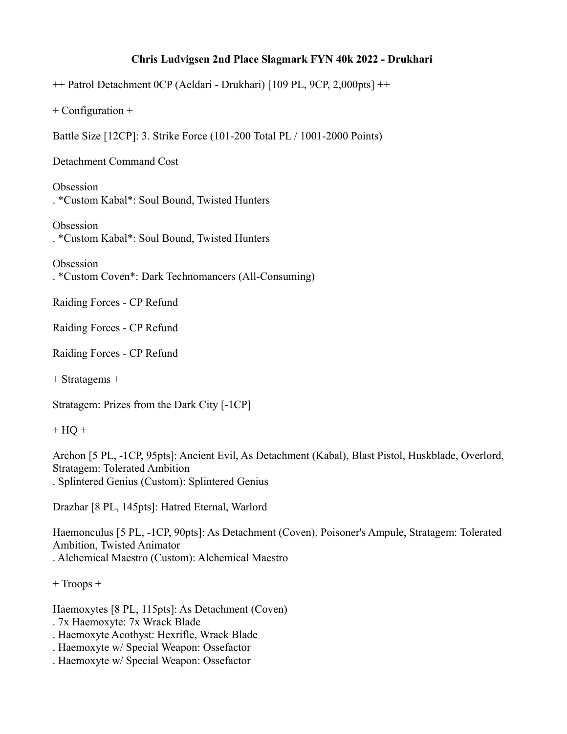## **Chris Ludvigsen 2nd Place Slagmark FYN 40k 2022 - Drukhari**

++ Patrol Detachment 0CP (Aeldari - Drukhari) [109 PL, 9CP, 2,000pts] ++

+ Configuration +

Battle Size [12CP]: 3. Strike Force (101-200 Total PL / 1001-2000 Points)

Detachment Command Cost

**Obsession** . \*Custom Kabal\*: Soul Bound, Twisted Hunters

**Obsession** . \*Custom Kabal\*: Soul Bound, Twisted Hunters

Obsession . \*Custom Coven\*: Dark Technomancers (All-Consuming)

Raiding Forces - CP Refund

Raiding Forces - CP Refund

Raiding Forces - CP Refund

+ Stratagems +

Stratagem: Prizes from the Dark City [-1CP]

 $+ HO +$ 

Archon [5 PL, -1CP, 95pts]: Ancient Evil, As Detachment (Kabal), Blast Pistol, Huskblade, Overlord, Stratagem: Tolerated Ambition . Splintered Genius (Custom): Splintered Genius

Drazhar [8 PL, 145pts]: Hatred Eternal, Warlord

Haemonculus [5 PL, -1CP, 90pts]: As Detachment (Coven), Poisoner's Ampule, Stratagem: Tolerated Ambition, Twisted Animator . Alchemical Maestro (Custom): Alchemical Maestro

+ Troops +

Haemoxytes [8 PL, 115pts]: As Detachment (Coven)

. 7x Haemoxyte: 7x Wrack Blade

. Haemoxyte Acothyst: Hexrifle, Wrack Blade

. Haemoxyte w/ Special Weapon: Ossefactor

. Haemoxyte w/ Special Weapon: Ossefactor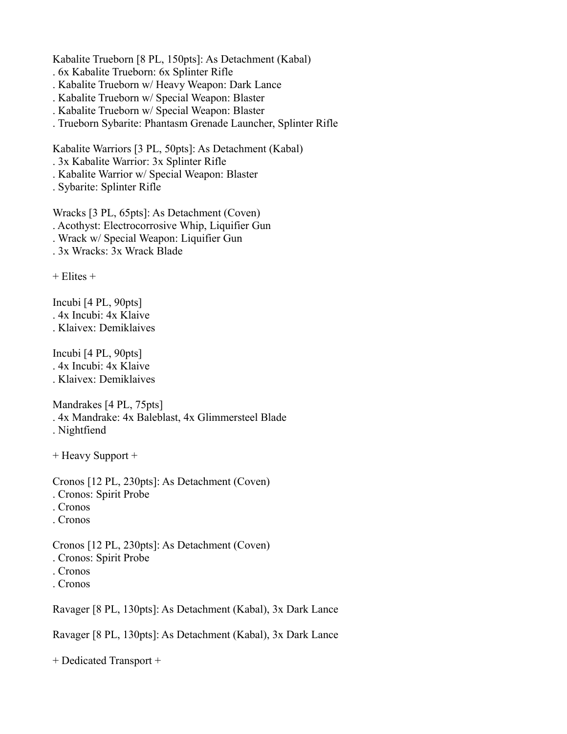Kabalite Trueborn [8 PL, 150pts]: As Detachment (Kabal)

- . 6x Kabalite Trueborn: 6x Splinter Rifle
- . Kabalite Trueborn w/ Heavy Weapon: Dark Lance
- . Kabalite Trueborn w/ Special Weapon: Blaster
- . Kabalite Trueborn w/ Special Weapon: Blaster
- . Trueborn Sybarite: Phantasm Grenade Launcher, Splinter Rifle

Kabalite Warriors [3 PL, 50pts]: As Detachment (Kabal)

- . 3x Kabalite Warrior: 3x Splinter Rifle
- . Kabalite Warrior w/ Special Weapon: Blaster
- . Sybarite: Splinter Rifle

Wracks [3 PL, 65pts]: As Detachment (Coven) . Acothyst: Electrocorrosive Whip, Liquifier Gun . Wrack w/ Special Weapon: Liquifier Gun

. 3x Wracks: 3x Wrack Blade

 $+$  Elites  $+$ 

Incubi [4 PL, 90pts] . 4x Incubi: 4x Klaive . Klaivex: Demiklaives

Incubi [4 PL, 90pts] . 4x Incubi: 4x Klaive . Klaivex: Demiklaives

Mandrakes [4 PL, 75pts]

- . 4x Mandrake: 4x Baleblast, 4x Glimmersteel Blade
- . Nightfiend
- + Heavy Support +
- Cronos [12 PL, 230pts]: As Detachment (Coven)
- . Cronos: Spirit Probe
- . Cronos
- . Cronos

Cronos [12 PL, 230pts]: As Detachment (Coven) . Cronos: Spirit Probe . Cronos

- 
- . Cronos

Ravager [8 PL, 130pts]: As Detachment (Kabal), 3x Dark Lance

Ravager [8 PL, 130pts]: As Detachment (Kabal), 3x Dark Lance

+ Dedicated Transport +